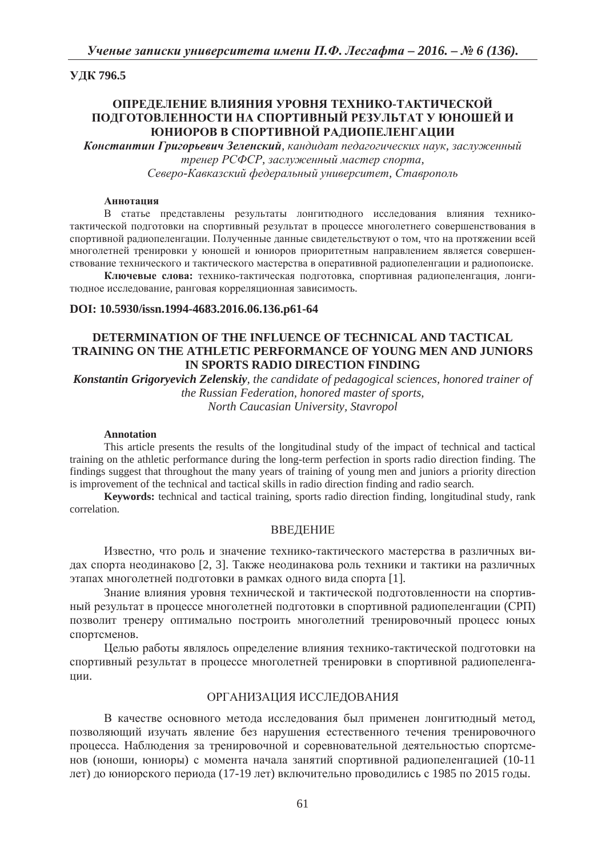## **ɍȾɄ 796.5**

# **ɈɉɊȿȾȿɅȿɇɂȿ ȼɅɂəɇɂə ɍɊɈȼɇə ɌȿɏɇɂɄɈ-ɌȺɄɌɂɑȿɋɄɈɃ ɉɈȾȽɈɌɈȼɅȿɇɇɈɋɌɂ ɇȺ ɋɉɈɊɌɂȼɇɕɃ ɊȿɁɍɅɖɌȺɌ ɍ ɘɇɈɒȿɃ ɂ ЮНИОРОВ В СПОРТИВНОЙ РАДИОПЕЛЕНГАЦИИ**

**Константин Григорьевич Зеленский**, кандидат педагогических наук, заслуженный тренер РСФСР, заслуженный мастер спорта,

*ɋɟɜɟɪɨ-Ʉɚɜɤɚɡɫɤɢɣ ɮɟɞɟɪɚɥɶɧɵɣ ɭɧɢɜɟɪɫɢɬɟɬ, ɋɬɚɜɪɨɩɨɥɶ*

#### **Аннотация**

В статье представлены результаты лонгитюдного исследования влияния техникотактической подготовки на спортивный результат в процессе многолетнего совершенствования в спортивной радиопеленгации. Полученные данные свидетельствуют о том, что на протяжении всей многолетней тренировки у юношей и юниоров приоритетным направлением является совершенствование технического и тактического мастерства в оперативной радиопеленгации и радиопоиске.

Ключевые слова: технико-тактическая подготовка, спортивная радиопеленгация, лонгитюдное исследование, ранговая корреляционная зависимость.

## **DOI: 10.5930/issn.1994-4683.2016.06.136.p61-64**

# **DETERMINATION OF THE INFLUENCE OF TECHNICAL AND TACTICAL TRAINING ON THE ATHLETIC PERFORMANCE OF YOUNG MEN AND JUNIORS IN SPORTS RADIO DIRECTION FINDING**

*Konstantin Grigoryevich Zelenskiy, the candidate of pedagogical sciences, honored trainer of the Russian Federation, honored master of sports, North Caucasian University, Stavropol* 

#### **Annotation**

This article presents the results of the longitudinal study of the impact of technical and tactical training on the athletic performance during the long-term perfection in sports radio direction finding. The findings suggest that throughout the many years of training of young men and juniors a priority direction is improvement of the technical and tactical skills in radio direction finding and radio search.

**Keywords:** technical and tactical training, sports radio direction finding, longitudinal study, rank correlation.

#### ВВЕДЕНИЕ

Известно, что роль и значение технико-тактического мастерства в различных видах спорта неодинаково [2, 3]. Также неодинакова роль техники и тактики на различных этапах многолетней подготовки в рамках одного вида спорта [1].

Знание влияния уровня технической и тактической подготовленности на спортивный результат в процессе многолетней подготовки в спортивной радиопеленгации (СРП) позволит тренеру оптимально построить многолетний тренировочный процесс юных спортсменов.

Целью работы являлось определение влияния технико-тактической подготовки на спортивный результат в процессе многолетней тренировки в спортивной радиопеленгании.

### ОРГАНИЗАЦИЯ ИССЛЕДОВАНИЯ

В качестве основного метода исследования был применен лонгитюлный метод. позволяющий изучать явление без нарушения естественного течения тренировочного процесса. Наблюдения за тренировочной и соревновательной деятельностью спортсменов (юноши, юниоры) с момента начала занятий спортивной радиопеленгацией (10-11 лет) до юниорского периода (17-19 лет) включительно проводились с 1985 по 2015 годы.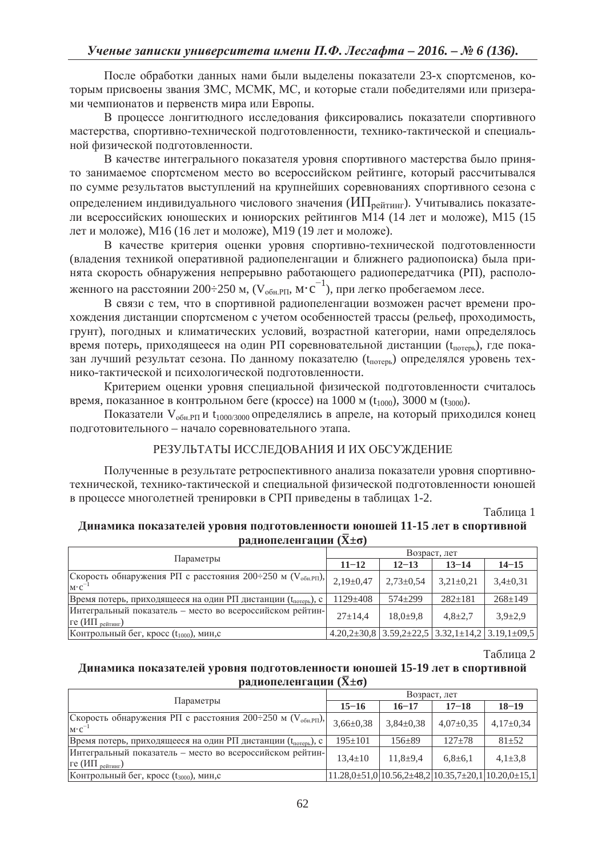После обработки данных нами были выделены показатели 23-х спортсменов, которым присвоены звания ЗМС, МСМК, МС, и которые стали победителями или призерами чемпионатов и первенств мира или Европы.

В процессе лонгитюдного исследования фиксировались показатели спортивного мастерства, спортивно-технической подготовленности, технико-тактической и специальной физической подготовленности.

В качестве интегрального показателя уровня спортивного мастерства было принято занимаемое спортсменом место во всероссийском рейтинге, который рассчитывался по сумме результатов выступлений на крупнейших соревнованиях спортивного сезона с определением индивидуального числового значения ( $M\Pi_{\text{pe\textsc{ir}} n}$ ). Учитывались показатели всероссийских юношеских и юниорских рейтингов  $\overline{M14}$  (14 лет и моложе),  $\overline{M15}$  (15 лет и моложе), М16 (16 лет и моложе), М19 (19 лет и моложе).

В качестве критерия оценки уровня спортивно-технической подготовленности (владения техникой оперативной радиопеленгации и ближнего радиопоиска) была принята скорость обнаружения непрерывно работающего радиопередатчика (РП), расположенного на расстоянии 200÷250 м,  $(V_{\text{o6H-PI}}, M \cdot c^{-1})$ , при легко пробегаемом лесе.

В связи с тем, что в спортивной радиопеленгации возможен расчет времени прохождения дистанции спортсменом с учетом особенностей трассы (рельеф, проходимость, грунт), погодных и климатических условий, возрастной категории, нами определялось время потерь, приходящееся на один РП соревновательной дистанции ( $t_{\text{noresh}}$ ), где показан лучший результат сезона. По данному показателю (t<sub>потерь</sub>) определялся уровень технико-тактической и психологической подготовленности.

Критерием оценки уровня специальной физической подготовленности считалось время, показанное в контрольном беге (кроссе) на 1000 м ( $t_{1000}$ ), 3000 м ( $t_{3000}$ ).

Показатели  $V_{\text{o6H.PII}}$ и  $t_{1000/3000}$  определялись в апреле, на который приходился конец подготовительного – начало соревновательного этапа.

# РЕЗУЛЬТАТЫ ИССЛЕДОВАНИЯ И ИХ ОБСУЖДЕНИЕ

Полученные в результате ретроспективного анализа показатели уровня спортивнотехнической, технико-тактической и специальной физической подготовленности юношей в процессе многолетней тренировки в СРП приведены в таблицах 1-2.

Таблица 1

## Динамика показателей уровня подготовленности юношей 11-15 лет в спортивной **bалиопеленгации** ( $\bar{X} \pm \sigma$ )

|                                                                                               | Возраст, лет  |                 |                                                                    |               |
|-----------------------------------------------------------------------------------------------|---------------|-----------------|--------------------------------------------------------------------|---------------|
| Параметры                                                                                     | $11 - 12$     | $12 - 13$       | $13 - 14$                                                          | $14 - 15$     |
| Скорость обнаружения РП с расстояния 200÷250 м ( $V_{\text{o}6H\text{,PI}}$ ),<br>$M \cdot C$ | $2,19\pm0,47$ | $2,73 \pm 0,54$ | $3,21\pm0,21$                                                      | $3,4\pm0,31$  |
| Время потерь, приходящееся на один РП дистанции (t <sub>потерь</sub> ), с                     | $1129 + 408$  | $574 + 299$     | $282 \pm 181$                                                      | $268 \pm 149$ |
| Интегральный показатель - место во всероссийском рейтин-<br>$re$ (ИП <sub>рейтинг</sub> )     | $27+14.4$     | $18,0{\pm}9,8$  | $4,8{\pm}2,7$                                                      | $3.9 \pm 2.9$ |
| Контрольный бег, кросс (t <sub>1000</sub> ), мин,с                                            |               |                 | $4.20,2\pm30,8$ 3.59,2 $\pm22,5$ 3.32,1 $\pm14,2$ 3.19,1 $\pm09,5$ |               |

Таблина 2

## Динамика показателей уровня подготовленности юношей 15-19 лет в спортивной **p**адиопеленгации ( $\bar{X} \pm \sigma$ )

|                                                                                            | Возраст, лет    |                                                                |               |               |
|--------------------------------------------------------------------------------------------|-----------------|----------------------------------------------------------------|---------------|---------------|
| Параметры                                                                                  | $15 - 16$       | $16 - 17$                                                      | $17 - 18$     | $18 - 19$     |
| Скорость обнаружения РП с расстояния 200÷250 м (V <sub>обн.РП</sub> ),<br>$M \cdot C^{-1}$ | $3,66 \pm 0,38$ | $3,84\pm0,38$                                                  | $4,07\pm0,35$ | $4,17\pm0.34$ |
| Время потерь, приходящееся на один РП дистанции (t <sub>потерь</sub> ), с                  | $195 \pm 101$   | $156 + 89$                                                     | $127 + 78$    | $81 + 52$     |
| Интегральный показатель - место во всероссийском рейтин-<br>ге (ИП <sub>рейтинг</sub> )    | $13.4 \pm 10$   | $11.8 + 9.4$                                                   | $6,8{\pm}6,1$ | $4.1 \pm 3.8$ |
| Контрольный бег, кросс (t3000), мин,с                                                      |                 | $11.28,0\pm51,0 10.56,2\pm48,2 10.35,7\pm20,1 10.20,0\pm15,1 $ |               |               |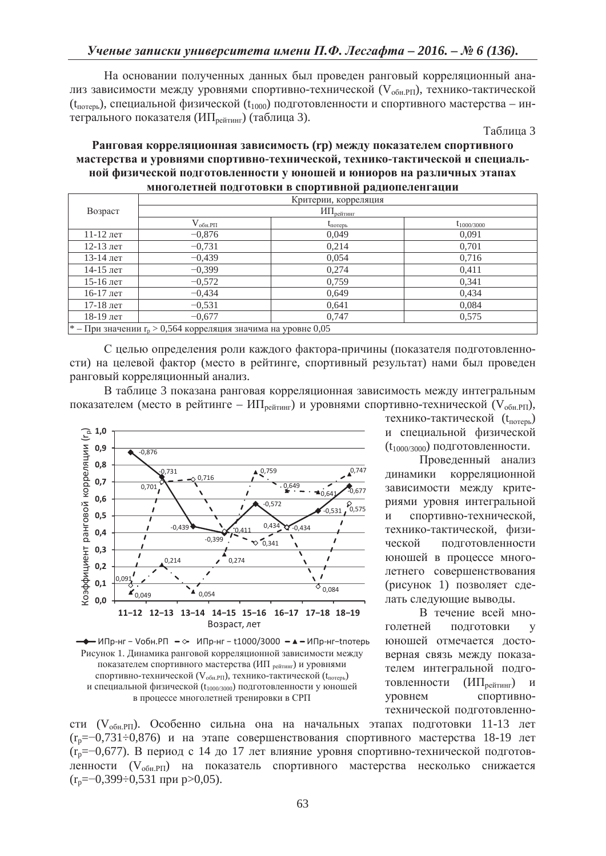На основании полученных данных был проведен ранговый корреляционный анализ зависимости между уровнями спортивно-технической ( $V_{\text{o6H,PI}}$ ), технико-тактической ( $t_{\text{moreph}}$ ), специальной физической ( $t_{1000}$ ) подготовленности и спортивного мастерства – интегрального показателя (ИП<sub>рейтинг</sub>) (таблица 3).

Таблина 3

## Ранговая корреляционная зависимость (rp) между показателем спортивного МАСТЕРСТВА И УРОВНЯМИ СПОРТИВНО-ТЕХНИЧЕСКОЙ, ТЕХНИКО-ТАКТИЧЕСКОЙ И СПЕЦИАЛЬ-НОЙ ФИЗИЧЕСКОЙ ПОДГОТОВЛЕННОСТИ У ЮНОШЕЙ И ЮНИОРОВ НА РАЗЛИЧНЫХ ЭТАПАХ **МНОГОЛЕТНЕЙ ПОЛГОТОВКИ В СПОРТИВНОЙ РАЛИОПЕЛЕНГАЦИИ**

|                                                                                      | Критерии, корреляция                         |                   |                 |  |
|--------------------------------------------------------------------------------------|----------------------------------------------|-------------------|-----------------|--|
| Возраст                                                                              | $H\Pi_{\mathrm{pe\textsc{itri}}\textsc{hi}}$ |                   |                 |  |
|                                                                                      | $\rm V_{\rm 06h.PII}$                        | $t_{\text{norm}}$ | $t_{1000/3000}$ |  |
| $11-12$ лет                                                                          | $-0,876$                                     | 0,049             | 0.091           |  |
| 12-13 лет                                                                            | $-0,731$                                     | 0,214             | 0,701           |  |
| 13-14 лет                                                                            | $-0.439$                                     | 0,054             | 0,716           |  |
| $14-15$ лет                                                                          | $-0,399$                                     | 0,274             | 0,411           |  |
| $15-16$ лет                                                                          | $-0,572$                                     | 0,759             | 0,341           |  |
| $16-17$ лет                                                                          | $-0,434$                                     | 0,649             | 0,434           |  |
| $17-18$ лет                                                                          | $-0.531$                                     | 0,641             | 0,084           |  |
| 18-19 лет                                                                            | $-0.677$                                     | 0,747             | 0,575           |  |
| <sup>*</sup> – При значении r <sub>p</sub> > 0,564 корреляция значима на уровне 0,05 |                                              |                   |                 |  |

С целью определения роли каждого фактора-причины (показателя подготовленности) на целевой фактор (место в рейтинге, спортивный результат) нами был проведен ранговый корреляционный анализ.

В таблице 3 показана ранговая корреляционная зависимость между интегральным показателем (место в рейтинге – ИП<sub>рейтинг</sub>) и уровнями спортивно-технической (V<sub>обн.РП</sub>),





технико-тактической (t<sub>roxens</sub>) и специальной физической  $(t_{1000/3000})$  подготовленности.

Проведенный анализ динамики корреляционной зависимости между критериями уровня интегральной и спортивно-технической, технико-тактической, физической подготовленности юношей в процессе многолетнего совершенствования (рисунок 1) позволяет сделать следующие выводы.

В течение всей многолетней подготовки у юношей отмечается достоверная связь между показателем интегральной подготовленности (ИП<sub>рейтинг</sub>) и уровнем спортивнотехнической полготовленно-

сти (V<sub>обн.РП</sub>). Особенно сильна она на начальных этапах подготовки 11-13 лет  $(r_p=-0.731\div 0.876)$  и на этапе совершенствования спортивного мастерства 18-19 лет  $(r_n=-0.677)$ . В период с 14 до 17 лет влияние уровня спортивно-технической подготовленности (V<sub>обн.РП</sub>) на показатель спортивного мастерства несколько снижается  $(r_p=-0,399\div 0,531$  при p>0,05).